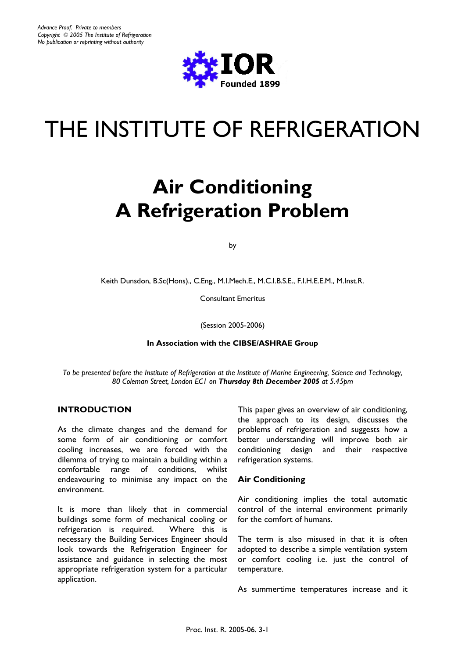

# THE INSTITUTE OF REFRIGERATION

# **Air Conditioning A Refrigeration Problem**

by

Keith Dunsdon, B.Sc(Hons)., C.Eng., M.I.Mech.E., M.C.I.B.S.E., F.I.H.E.E.M., M.Inst.R.

Consultant Emeritus

(Session 2005-2006)

#### **In Association with the CIBSE/ASHRAE Group**

*To be presented before the Institute of Refrigeration at the Institute of Marine Engineering, Science and Technology, 80 Coleman Street, London EC1 on Thursday 8th December 2005 at 5.45pm* 

#### **INTRODUCTION**

As the climate changes and the demand for some form of air conditioning or comfort cooling increases, we are forced with the dilemma of trying to maintain a building within a comfortable range of conditions, whilst endeavouring to minimise any impact on the environment.

It is more than likely that in commercial buildings some form of mechanical cooling or refrigeration is required. Where this is necessary the Building Services Engineer should look towards the Refrigeration Engineer for assistance and guidance in selecting the most appropriate refrigeration system for a particular application.

This paper gives an overview of air conditioning, the approach to its design, discusses the problems of refrigeration and suggests how a better understanding will improve both air conditioning design and their respective refrigeration systems.

#### **Air Conditioning**

Air conditioning implies the total automatic control of the internal environment primarily for the comfort of humans.

The term is also misused in that it is often adopted to describe a simple ventilation system or comfort cooling i.e. just the control of temperature.

As summertime temperatures increase and it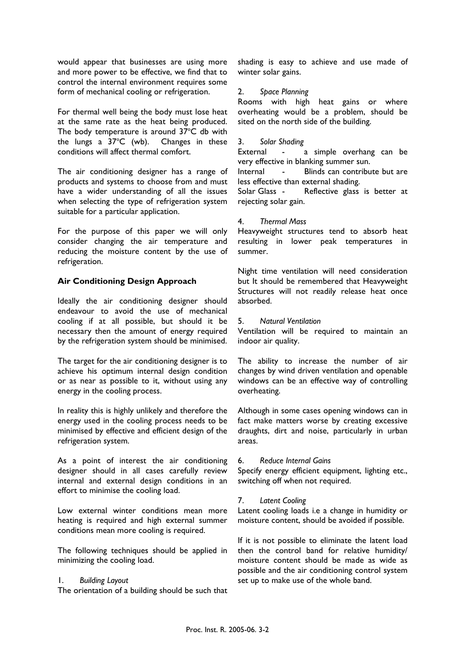would appear that businesses are using more and more power to be effective, we find that to control the internal environment requires some form of mechanical cooling or refrigeration.

For thermal well being the body must lose heat at the same rate as the heat being produced. The body temperature is around  $37^{\circ}$ C db with the lungs a  $37^{\circ}$ C (wb). Changes in these conditions will affect thermal comfort.

The air conditioning designer has a range of products and systems to choose from and must have a wider understanding of all the issues when selecting the type of refrigeration system suitable for a particular application.

For the purpose of this paper we will only consider changing the air temperature and reducing the moisture content by the use of refrigeration.

# **Air Conditioning Design Approach**

Ideally the air conditioning designer should endeavour to avoid the use of mechanical cooling if at all possible, but should it be necessary then the amount of energy required by the refrigeration system should be minimised.

The target for the air conditioning designer is to achieve his optimum internal design condition or as near as possible to it, without using any energy in the cooling process.

In reality this is highly unlikely and therefore the energy used in the cooling process needs to be minimised by effective and efficient design of the refrigeration system.

As a point of interest the air conditioning designer should in all cases carefully review internal and external design conditions in an effort to minimise the cooling load.

Low external winter conditions mean more heating is required and high external summer conditions mean more cooling is required.

The following techniques should be applied in minimizing the cooling load.

#### 1. *Building Layout*

The orientation of a building should be such that

shading is easy to achieve and use made of winter solar gains.

#### 2. *Space Planning*

Rooms with high heat gains or where overheating would be a problem, should be sited on the north side of the building.

#### 3. *Solar Shading*

External - a simple overhang can be very effective in blanking summer sun.

Internal - Blinds can contribute but are less effective than external shading.

Solar Glass - Reflective glass is better at rejecting solar gain.

#### 4. *Thermal Mass*

Heavyweight structures tend to absorb heat resulting in lower peak temperatures in summer.

Night time ventilation will need consideration but It should be remembered that Heavyweight Structures will not readily release heat once absorbed.

#### 5. *Natural Ventilation*

Ventilation will be required to maintain an indoor air quality.

The ability to increase the number of air changes by wind driven ventilation and openable windows can be an effective way of controlling overheating.

Although in some cases opening windows can in fact make matters worse by creating excessive draughts, dirt and noise, particularly in urban areas.

#### 6. *Reduce Internal Gains*

Specify energy efficient equipment, lighting etc., switching off when not required.

#### 7. *Latent Cooling*

Latent cooling loads i.e a change in humidity or moisture content, should be avoided if possible.

If it is not possible to eliminate the latent load then the control band for relative humidity/ moisture content should be made as wide as possible and the air conditioning control system set up to make use of the whole band.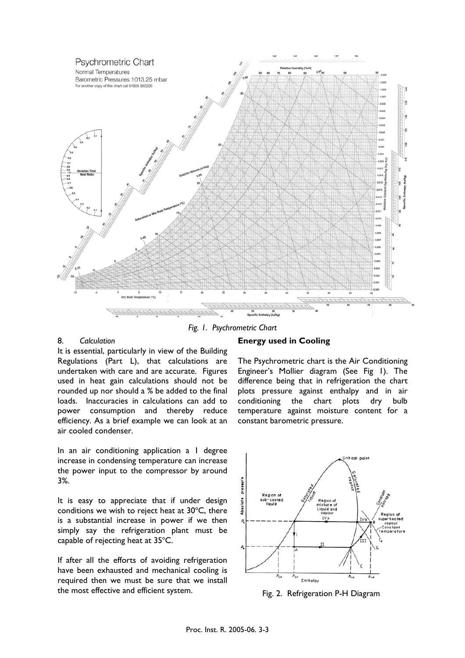

*Fig. 1. Psychrometric Chart* 

#### 8. *Calculation*

It is essential, particularly in view of the Building Regulations (Part L), that calculations are undertaken with care and are accurate. Figures used in heat gain calculations should not be rounded up nor should a % be added to the final loads. Inaccuracies in calculations can add to power consumption and thereby reduce efficiency. As a brief example we can look at an air cooled condenser.

In an air conditioning application a 1 degree increase in condensing temperature can increase the power input to the compressor by around 3%.

It is easy to appreciate that if under design conditions we wish to reject heat at  $30^{\circ}$ C, there is a substantial increase in power if we then simply say the refrigeration plant must be capable of rejecting heat at  $35^{\circ}$ C.

If after all the efforts of avoiding refrigeration have been exhausted and mechanical cooling is required then we must be sure that we install the most effective and efficient system.

#### **Energy used in Cooling**

The Psychrometric chart is the Air Conditioning Engineer's Mollier diagram (See Fig 1). The difference being that in refrigeration the chart plots pressure against enthalpy and in air conditioning the chart plots dry bulb temperature against moisture content for a constant barometric pressure.



Fig. 2. Refrigeration P-H Diagram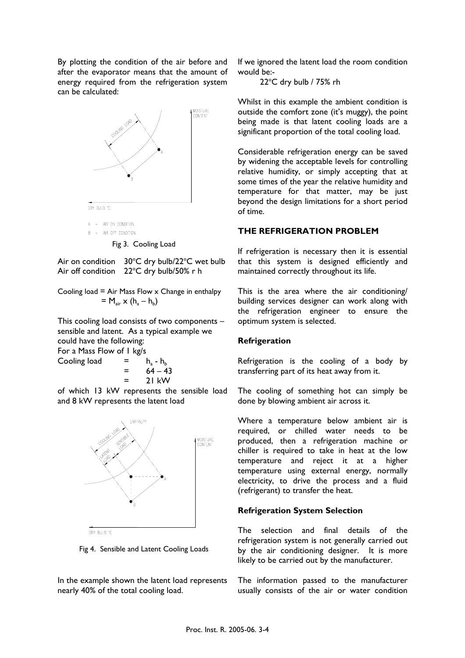By plotting the condition of the air before and after the evaporator means that the amount of energy required from the refrigeration system can be calculated:



Air on condition  $30^{\circ}$ C dry bulb/22 $^{\circ}$ C wet bulb

Air off condition  $22^{\circ}$ C dry bulb/50% r h

Cooling load  $=$  Air Mass Flow  $\times$  Change in enthalpy  $= M_{air} \times (h_{a} - h_{b})$ 

This cooling load consists of two components – sensible and latent. As a typical example we could have the following: For a Mass Flow of 1 kg/s

Cooling load =  $h_a - h_b$  $= 64 - 43$  $=$  21 kW

of which 13 kW represents the sensible load and 8 kW represents the latent load



Fig 4. Sensible and Latent Cooling Loads

In the example shown the latent load represents nearly 40% of the total cooling load.

If we ignored the latent load the room condition would be:-

 $22^{\circ}$ C dry bulb / 75% rh

Whilst in this example the ambient condition is outside the comfort zone (it's muggy), the point being made is that latent cooling loads are a significant proportion of the total cooling load.

Considerable refrigeration energy can be saved by widening the acceptable levels for controlling relative humidity, or simply accepting that at some times of the year the relative humidity and temperature for that matter, may be just beyond the design limitations for a short period of time.

# **THE REFRIGERATION PROBLEM**

If refrigeration is necessary then it is essential that this system is designed efficiently and maintained correctly throughout its life.

This is the area where the air conditioning/ building services designer can work along with the refrigeration engineer to ensure the optimum system is selected.

#### **Refrigeration**

Refrigeration is the cooling of a body by transferring part of its heat away from it.

The cooling of something hot can simply be done by blowing ambient air across it.

Where a temperature below ambient air is required, or chilled water needs to be produced, then a refrigeration machine or chiller is required to take in heat at the low temperature and reject it at a higher temperature using external energy, normally electricity, to drive the process and a fluid (refrigerant) to transfer the heat.

# **Refrigeration System Selection**

The selection and final details of the refrigeration system is not generally carried out by the air conditioning designer. It is more likely to be carried out by the manufacturer.

The information passed to the manufacturer usually consists of the air or water condition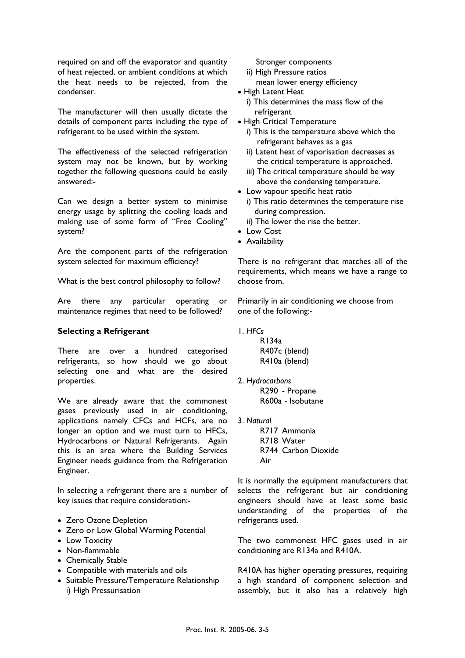required on and off the evaporator and quantity of heat rejected, or ambient conditions at which the heat needs to be rejected, from the condenser.

The manufacturer will then usually dictate the details of component parts including the type of refrigerant to be used within the system.

The effectiveness of the selected refrigeration system may not be known, but by working together the following questions could be easily answered:-

Can we design a better system to minimise energy usage by splitting the cooling loads and making use of some form of "Free Cooling" system?

Are the component parts of the refrigeration system selected for maximum efficiency?

What is the best control philosophy to follow?

Are there any particular operating or maintenance regimes that need to be followed?

#### **Selecting a Refrigerant**

There are over a hundred categorised refrigerants, so how should we go about selecting one and what are the desired properties.

We are already aware that the commonest gases previously used in air conditioning, applications namely CFCs and HCFs, are no longer an option and we must turn to HFCs, Hydrocarbons or Natural Refrigerants. Again this is an area where the Building Services Engineer needs guidance from the Refrigeration Engineer.

In selecting a refrigerant there are a number of key issues that require consideration:-

- Zero Ozone Depletion
- Zero or Low Global Warming Potential
- Low Toxicity
- Non-flammable
- Chemically Stable
- Compatible with materials and oils
- Suitable Pressure/Temperature Relationship i) High Pressurisation

Stronger components

- ii) High Pressure ratios
- mean lower energy efficiency
- High Latent Heat
	- i) This determines the mass flow of the refrigerant
- High Critical Temperature
	- i) This is the temperature above which the refrigerant behaves as a gas
	- ii) Latent heat of vaporisation decreases as the critical temperature is approached.
	- iii) The critical temperature should be way above the condensing temperature.
- Low vapour specific heat ratio i) This ratio determines the temperature rise during compression.
	- ii) The lower the rise the better.
- Low Cost
- Availability

There is no refrigerant that matches all of the requirements, which means we have a range to choose from.

Primarily in air conditioning we choose from one of the following:-

1. *HFCs*

 R134a R407c(blend) R410a (blend)

2. *Hydrocarbons*

 R290 - Propane R600a - Isobutane

3. *Natural*

 R717 Ammonia R718 Water R744 Carbon Dioxide Air

It is normally the equipment manufacturers that selects the refrigerant but air conditioning engineers should have at least some basic understanding of the properties of the refrigerants used.

The two commonest HFC gases used in air conditioning are R134a and R410A.

R410A has higher operating pressures, requiring a high standard of component selection and assembly, but it also has a relatively high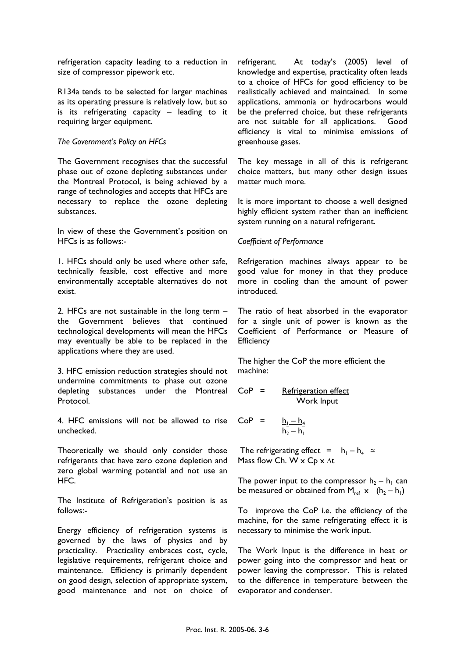refrigeration capacity leading to a reduction in size of compressor pipework etc.

R134a tends to be selected for larger machines as its operating pressure is relatively low, but so is its refrigerating capacity – leading to it requiring larger equipment.

#### *The Government's Policy on HFCs*

The Government recognises that the successful phase out of ozone depleting substances under the Montreal Protocol, is being achieved by a range of technologies and accepts that HFCs are necessary to replace the ozone depleting substances.

In view of these the Government's position on HFCs is as follows:-

1. HFCs should only be used where other safe, technically feasible, cost effective and more environmentally acceptable alternatives do not exist.

2. HFCs are not sustainable in the long term – the Government believes that continued technological developments will mean the HFCs may eventually be able to be replaced in the applications where they are used.

3. HFC emission reduction strategies should not undermine commitments to phase out ozone depleting substances under the Montreal Protocol.

4. HFC emissions will not be allowed to rise unchecked.

Theoretically we should only consider those refrigerants that have zero ozone depletion and zero global warming potential and not use an HFC.

The Institute of Refrigeration's position is as follows:-

Energy efficiency of refrigeration systems is governed by the laws of physics and by practicality. Practicality embraces cost, cycle, legislative requirements, refrigerant choice and maintenance. Efficiency is primarily dependent on good design, selection of appropriate system, good maintenance and not on choice of refrigerant. At today's (2005) level of knowledge and expertise, practicality often leads to a choice of HFCs for good efficiency to be realistically achieved and maintained. In some applications, ammonia or hydrocarbons would be the preferred choice, but these refrigerants are not suitable for all applications. Good efficiency is vital to minimise emissions of greenhouse gases.

The key message in all of this is refrigerant choice matters, but many other design issues matter much more.

It is more important to choose a well designed highly efficient system rather than an inefficient system running on a natural refrigerant.

#### *Coefficient of Performance*

Refrigeration machines always appear to be good value for money in that they produce more in cooling than the amount of power introduced.

The ratio of heat absorbed in the evaporator for a single unit of power is known as the Coefficient of Performance or Measure of **Efficiency** 

The higher the CoP the more efficient the machine:

$$
CoP = \underbrace{Refrigeration effect}_{\text{Work Input}}
$$

$$
CoP = \frac{h_1 - h_4}{h_2 - h_1}
$$

The refrigerating effect =  $h_1 - h_4 \approx$ Mass flow Ch. W  $\times$  Cp  $\times$  ∆t

The power input to the compressor  $h_2 - h_1$  can be measured or obtained from  $M_{ref}$  x  $(h_2 - h_1)$ 

To improve the CoP i.e. the efficiency of the machine, for the same refrigerating effect it is necessary to minimise the work input.

The Work Input is the difference in heat or power going into the compressor and heat or power leaving the compressor. This is related to the difference in temperature between the evaporator and condenser.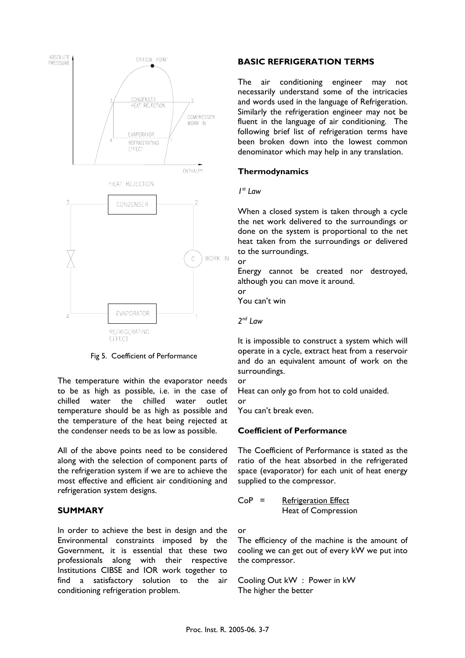

Fig 5. Coefficient of Performance

The temperature within the evaporator needs to be as high as possible, i.e. in the case of chilled water the chilled water outlet temperature should be as high as possible and the temperature of the heat being rejected at the condenser needs to be as low as possible.

All of the above points need to be considered along with the selection of component parts of the refrigeration system if we are to achieve the most effective and efficient air conditioning and refrigeration system designs.

#### **SUMMARY**

In order to achieve the best in design and the Environmental constraints imposed by the Government, it is essential that these two professionals along with their respective Institutions CIBSE and IOR work together to find a satisfactory solution to the air conditioning refrigeration problem.

# **BASIC REFRIGERATION TERMS**

The air conditioning engineer may not necessarily understand some of the intricacies and words used in the language of Refrigeration. Similarly the refrigeration engineer may not be fluent in the language of air conditioning. The following brief list of refrigeration terms have been broken down into the lowest common denominator which may help in any translation.

# **Thermodynamics**

#### *1st Law*

When a closed system is taken through a cycle the net work delivered to the surroundings or done on the system is proportional to the net heat taken from the surroundings or delivered to the surroundings.

or

Energy cannot be created nor destroyed, although you can move it around.

or

You can't win

*2nd Law*

It is impossible to construct a system which will operate in a cycle, extract heat from a reservoir and do an equivalent amount of work on the surroundings.

or

Heat can only go from hot to cold unaided. or

You can't break even.

# **Coefficient of Performance**

The Coefficient of Performance is stated as the ratio of the heat absorbed in the refrigerated space (evaporator) for each unit of heat energy supplied to the compressor.

CoP = Refrigeration Effect Heat of Compression

or

The efficiency of the machine is the amount of cooling we can get out of every kW we put into the compressor.

Cooling Out kW : Power in kW The higher the better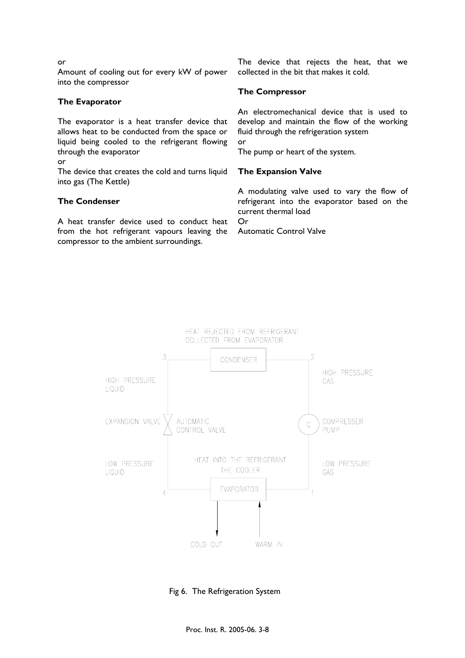or

Amount of cooling out for every kW of power into the compressor

## **The Evaporator**

The evaporator is a heat transfer device that allows heat to be conducted from the space or liquid being cooled to the refrigerant flowing through the evaporator

or

The device that creates the cold and turns liquid into gas (The Kettle)

# **The Condenser**

A heat transfer device used to conduct heat from the hot refrigerant vapours leaving the compressor to the ambient surroundings.

The device that rejects the heat, that we collected in the bit that makes it cold.

# **The Compressor**

An electromechanical device that is used to develop and maintain the flow of the working fluid through the refrigeration system or The pump or heart of the system.

## **The Expansion Valve**

A modulating valve used to vary the flow of refrigerant into the evaporator based on the current thermal load Or

Automatic Control Valve



Fig 6. The Refrigeration System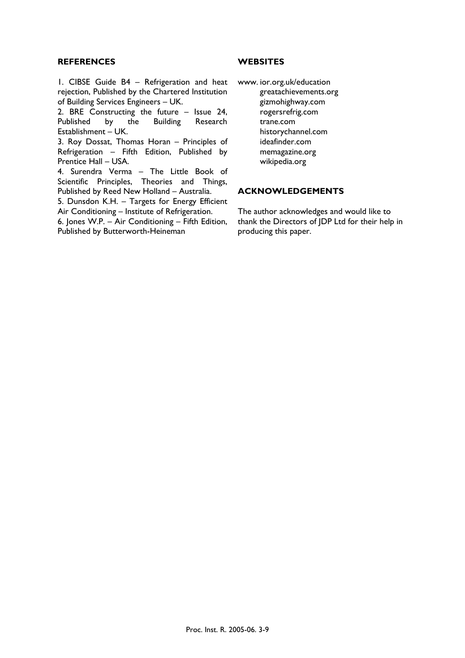#### **REFERENCES**

1. CIBSE Guide B4 – Refrigeration and heat rejection, Published by the Chartered Institution of Building Services Engineers – UK.

2. BRE Constructing the future – Issue 24, Published by the Building Research Establishment – UK.

3. Roy Dossat, Thomas Horan – Principles of Refrigeration – Fifth Edition, Published by Prentice Hall – USA.

4. Surendra Verma – The Little Book of Scientific Principles, Theories and Things, Published by Reed New Holland – Australia.

5. Dunsdon K.H. – Targets for Energy Efficient Air Conditioning – Institute of Refrigeration.

6. Jones W.P. – Air Conditioning – Fifth Edition, Published by Butterworth-Heineman

#### **WEBSITES**

www. ior.org.uk/education greatachievements.org gizmohighway.com rogersrefrig.com trane.com historychannel.com ideafinder.com memagazine.org wikipedia.org

#### **ACKNOWLEDGEMENTS**

The author acknowledges and would like to thank the Directors of JDP Ltd for their help in producing this paper.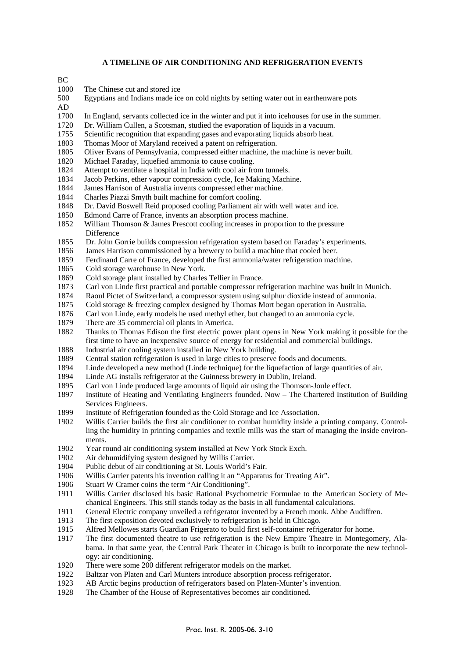#### **A TIMELINE OF AIR CONDITIONING AND REFRIGERATION EVENTS**

 $BC$ 

1000 The Chinese cut and stored ice

| 500                      | Egyptians and Indians made ice on cold nights by setting water out in earthenware pots |  |
|--------------------------|----------------------------------------------------------------------------------------|--|
| $\overline{\phantom{a}}$ |                                                                                        |  |

- AD
- 1700 In England, servants collected ice in the winter and put it into icehouses for use in the summer.
- 1720 Dr. William Cullen, a Scotsman, studied the evaporation of liquids in a vacuum.
- 1755 Scientific recognition that expanding gases and evaporating liquids absorb heat.
- 1803 Thomas Moor of Maryland received a patent on refrigeration.
- 1805 Oliver Evans of Pennsylvania, compressed either machine, the machine is never built.
- 1820 Michael Faraday, liquefied ammonia to cause cooling.
- 1824 Attempt to ventilate a hospital in India with cool air from tunnels.
- 1834 Jacob Perkins, ether vapour compression cycle, Ice Making Machine.
- 1844 James Harrison of Australia invents compressed ether machine.
- 1844 Charles Piazzi Smyth built machine for comfort cooling.
- 1848 Dr. David Boswell Reid proposed cooling Parliament air with well water and ice.
- 1850 Edmond Carre of France, invents an absorption process machine.
- 1852 William Thomson & James Prescott cooling increases in proportion to the pressure Difference
- 1855 Dr. John Gorrie builds compression refrigeration system based on Faraday's experiments.
- 1856 James Harrison commissioned by a brewery to build a machine that cooled beer.
- 1859 Ferdinand Carre of France, developed the first ammonia/water refrigeration machine.
- 1865 Cold storage warehouse in New York.
- 1869 Cold storage plant installed by Charles Tellier in France.
- 1873 Carl von Linde first practical and portable compressor refrigeration machine was built in Munich.
- 1874 Raoul Pictet of Switzerland, a compressor system using sulphur dioxide instead of ammonia.
- 1875 Cold storage & freezing complex designed by Thomas Mort began operation in Australia.
- 1876 Carl von Linde, early models he used methyl ether, but changed to an ammonia cycle.
- 1879 There are 35 commercial oil plants in America.
- 1882 Thanks to Thomas Edison the first electric power plant opens in New York making it possible for the first time to have an inexpensive source of energy for residential and commercial buildings.
- 1888 Industrial air cooling system installed in New York building.
- 1889 Central station refrigeration is used in large cities to preserve foods and documents.
- 1894 Linde developed a new method (Linde technique) for the liquefaction of large quantities of air.
- 1894 Linde AG installs refrigerator at the Guinness brewery in Dublin, Ireland.
- 1895 Carl von Linde produced large amounts of liquid air using the Thomson-Joule effect.
- 1897 Institute of Heating and Ventilating Engineers founded. Now The Chartered Institution of Building Services Engineers.
- 1899 Institute of Refrigeration founded as the Cold Storage and Ice Association.
- 1902 Willis Carrier builds the first air conditioner to combat humidity inside a printing company. Controlling the humidity in printing companies and textile mills was the start of managing the inside environments.
- 1902 Year round air conditioning system installed at New York Stock Exch.<br>1902 Air dehumidifying system designed by Willis Carrier.
- Air dehumidifying system designed by Willis Carrier.
- 1904 Public debut of air conditioning at St. Louis World's Fair.
- 1906 Willis Carrier patents his invention calling it an "Apparatus for Treating Air".
- 1906 Stuart W Cramer coins the term "Air Conditioning".
- 1911 Willis Carrier disclosed his basic Rational Psychometric Formulae to the American Society of Mechanical Engineers. This still stands today as the basis in all fundamental calculations.
- 1911 General Electric company unveiled a refrigerator invented by a French monk. Abbe Audiffren.
- 1913 The first exposition devoted exclusively to refrigeration is held in Chicago.
- 1915 Alfred Mellowes starts Guardian Frigerato to build first self-container refrigerator for home.
- 1917 The first documented theatre to use refrigeration is the New Empire Theatre in Montegomery, Alabama. In that same year, the Central Park Theater in Chicago is built to incorporate the new technology: air conditioning.
- 1920 There were some 200 different refrigerator models on the market.
- 1922 Baltzar von Platen and Carl Munters introduce absorption process refrigerator.
- 1923 AB Arctic begins production of refrigerators based on Platen-Munter's invention.
- 1928 The Chamber of the House of Representatives becomes air conditioned.